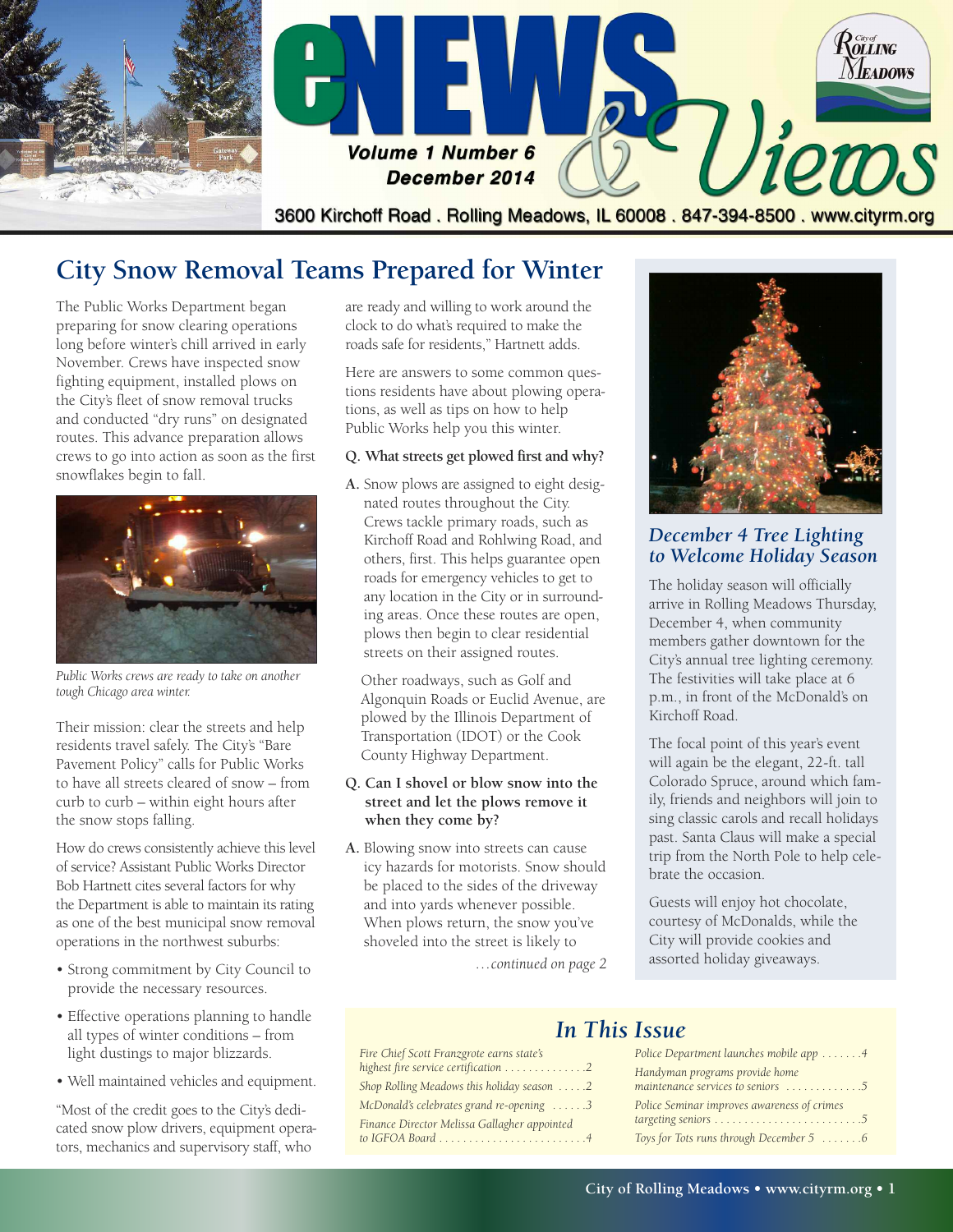

## **City Snow Removal Teams Prepared for Winter**

The Public Works Department began preparing for snow clearing operations long before winter's chill arrived in early November. Crews have inspected snow fighting equipment, installed plows on the City's fleet of snow removal trucks and conducted "dry runs" on designated routes. This advance preparation allows crews to go into action as soon as the first snowflakes begin to fall.



*Public Works crews are ready to take on another tough Chicago area winter.*

Their mission: clear the streets and help residents travel safely. The City's "Bare Pavement Policy" calls for Public Works to have all streets cleared of snow – from curb to curb – within eight hours after the snow stops falling.

How do crews consistently achieve this level of service? Assistant Public Works Director Bob Hartnett cites several factors for why the Department is able to maintain its rating as one of the best municipal snow removal operations in the northwest suburbs:

- Strong commitment by City Council to provide the necessary resources.
- Effective operations planning to handle all types of winter conditions – from light dustings to major blizzards.
- Well maintained vehicles and equipment.

"Most of the credit goes to the City's dedicated snow plow drivers, equipment operators, mechanics and supervisory staff, who

are ready and willing to work around the clock to do what's required to make the roads safe for residents," Hartnett adds.

Here are answers to some common questions residents have about plowing operations, as well as tips on how to help Public Works help you this winter.

#### **Q. What streets get plowed first and why?**

**A.** Snow plows are assigned to eight designated routes throughout the City. Crews tackle primary roads, such as Kirchoff Road and Rohlwing Road, and others, first. This helps guarantee open roads for emergency vehicles to get to any location in the City or in surrounding areas. Once these routes are open, plows then begin to clear residential streets on their assigned routes.

Other roadways, such as Golf and Algonquin Roads or Euclid Avenue, are plowed by the Illinois Department of Transportation (IDOT) or the Cook County Highway Department.

#### **Q. Can I shovel or blow snow into the street and let the plows remove it when they come by?**

**A.** Blowing snow into streets can cause icy hazards for motorists. Snow should be placed to the sides of the driveway and into yards whenever possible. When plows return, the snow you've shoveled into the street is likely to

*Fire Chief Scott Franzgrote earns state's highest fire service certification . . . . . . . . . . . . . .2 Shop Rolling Meadows this holiday season . . . . .2 McDonald's celebrates grand re-opening . . . . . .3 Finance Director Melissa Gallagher appointed to IGFOA Board . . . . . . . . . . . . . . . . . . . . . . . . .4*



#### *December 4 Tree Lighting to Welcome Holiday Season*

The holiday season will officially arrive in Rolling Meadows Thursday, December 4, when community members gather downtown for the City's annual tree lighting ceremony. The festivities will take place at 6 p.m., in front of the McDonald's on Kirchoff Road.

The focal point of this year's event will again be the elegant, 22-ft. tall Colorado Spruce, around which family, friends and neighbors will join to sing classic carols and recall holidays past. Santa Claus will make a special trip from the North Pole to help celebrate the occasion.

Guests will enjoy hot chocolate, courtesy of McDonalds, while the City will provide cookies and *…* assorted holiday giveaways. *continued on page 2*

*In This Issue*

| Police Department launches mobile app 4                             |
|---------------------------------------------------------------------|
| Handyman programs provide home<br>maintenance services to seniors 5 |
| Police Seminar improves awareness of crimes                         |
| Toys for Tots runs through December 5 6                             |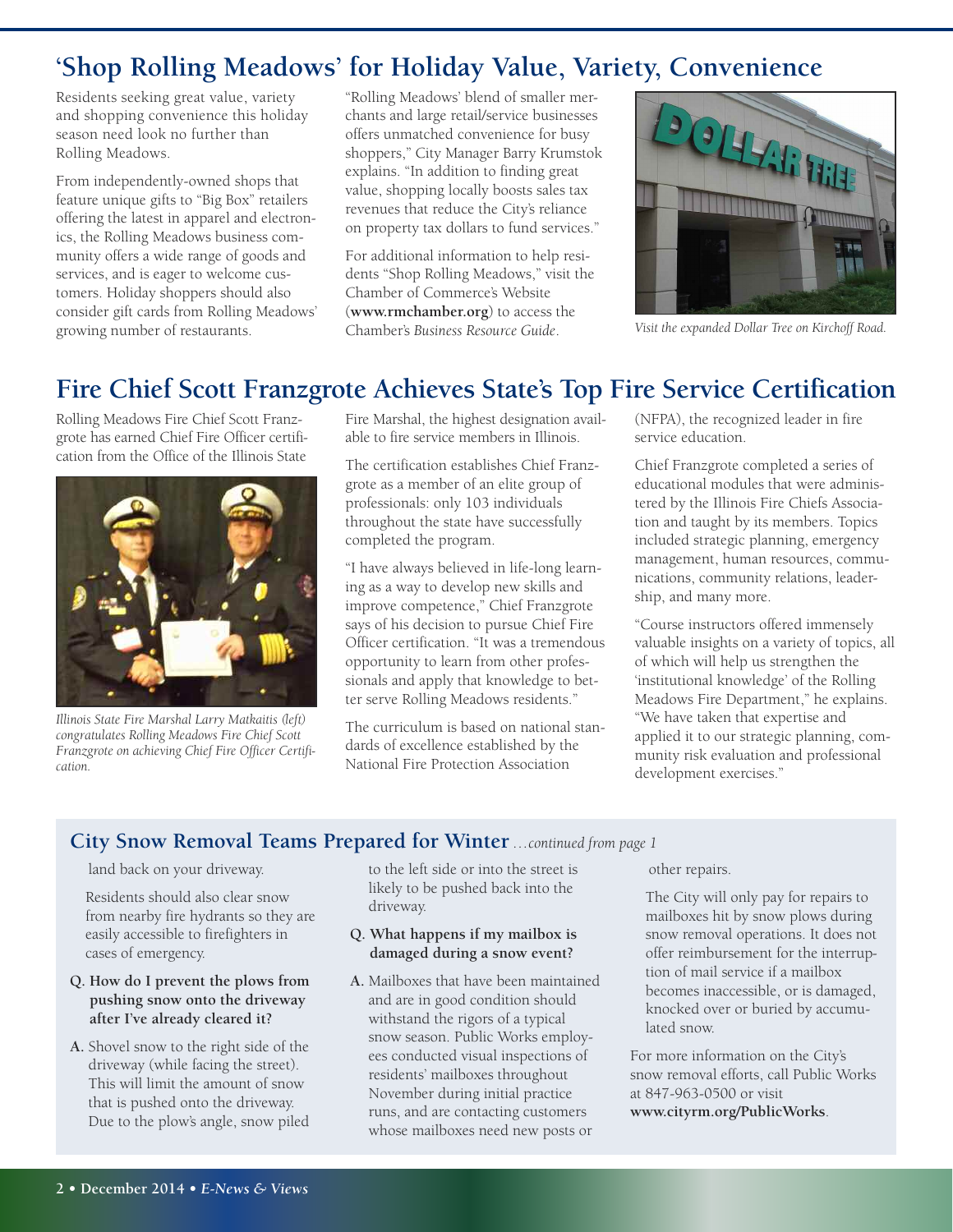# **'Shop Rolling Meadows' for Holiday Value, Variety, Convenience**

Residents seeking great value, variety and shopping convenience this holiday season need look no further than Rolling Meadows.

From independently-owned shops that feature unique gifts to "Big Box" retailers offering the latest in apparel and electronics, the Rolling Meadows business community offers a wide range of goods and services, and is eager to welcome customers. Holiday shoppers should also consider gift cards from Rolling Meadows' growing number of restaurants.

"Rolling Meadows' blend of smaller merchants and large retail/service businesses offers unmatched convenience for busy shoppers," City Manager Barry Krumstok explains. "In addition to finding great value, shopping locally boosts sales tax revenues that reduce the City's reliance on property tax dollars to fund services."

For additional information to help residents "Shop Rolling Meadows," visit the Chamber of Commerce's Website (**<www.rmchamber.org>**) to access the Chamber's *Business Resource Guide*. *Visit the expanded Dollar Tree on Kirchoff Road.*



## **Fire Chief Scott Franzgrote Achieves State's Top Fire Service Certification**

Rolling Meadows Fire Chief Scott Franzgrote has earned Chief Fire Officer certification from the Office of the Illinois State



*Illinois State Fire Marshal Larry Matkaitis (left) congratulates Rolling Meadows Fire Chief Scott Franzgrote on achieving Chief Fire Officer Certification.*

Fire Marshal, the highest designation available to fire service members in Illinois.

The certification establishes Chief Franzgrote as a member of an elite group of professionals: only 103 individuals throughout the state have successfully completed the program.

"I have always believed in life-long learning as a way to develop new skills and improve competence," Chief Franzgrote says of his decision to pursue Chief Fire Officer certification. "It was a tremendous opportunity to learn from other professionals and apply that knowledge to better serve Rolling Meadows residents."

The curriculum is based on national standards of excellence established by the National Fire Protection Association

(NFPA), the recognized leader in fire service education.

Chief Franzgrote completed a series of educational modules that were administered by the Illinois Fire Chiefs Association and taught by its members. Topics included strategic planning, emergency management, human resources, communications, community relations, leadership, and many more.

"Course instructors offered immensely valuable insights on a variety of topics, all of which will help us strengthen the 'institutional knowledge' of the Rolling Meadows Fire Department," he explains. "We have taken that expertise and applied it to our strategic planning, community risk evaluation and professional development exercises."

#### **City Snow Removal Teams Prepared for Winter** *…continued from page 1*

#### land back on your driveway.

Residents should also clear snow from nearby fire hydrants so they are easily accessible to firefighters in cases of emergency.

#### **Q. How do I prevent the plows from pushing snow onto the driveway after I've already cleared it?**

**A.** Shovel snow to the right side of the driveway (while facing the street). This will limit the amount of snow that is pushed onto the driveway. Due to the plow's angle, snow piled

to the left side or into the street is likely to be pushed back into the driveway.

#### **Q. What happens if my mailbox is damaged during a snow event?**

**A.** Mailboxes that have been maintained and are in good condition should withstand the rigors of a typical snow season. Public Works employees conducted visual inspections of residents' mailboxes throughout November during initial practice runs, and are contacting customers whose mailboxes need new posts or

other repairs.

The City will only pay for repairs to mailboxes hit by snow plows during snow removal operations. It does not offer reimbursement for the interruption of mail service if a mailbox becomes inaccessible, or is damaged, knocked over or buried by accumulated snow.

For more information on the City's snow removal efforts, call Public Works at 847-963-0500 or visit **<www.cityrm.org/PublicWorks>**.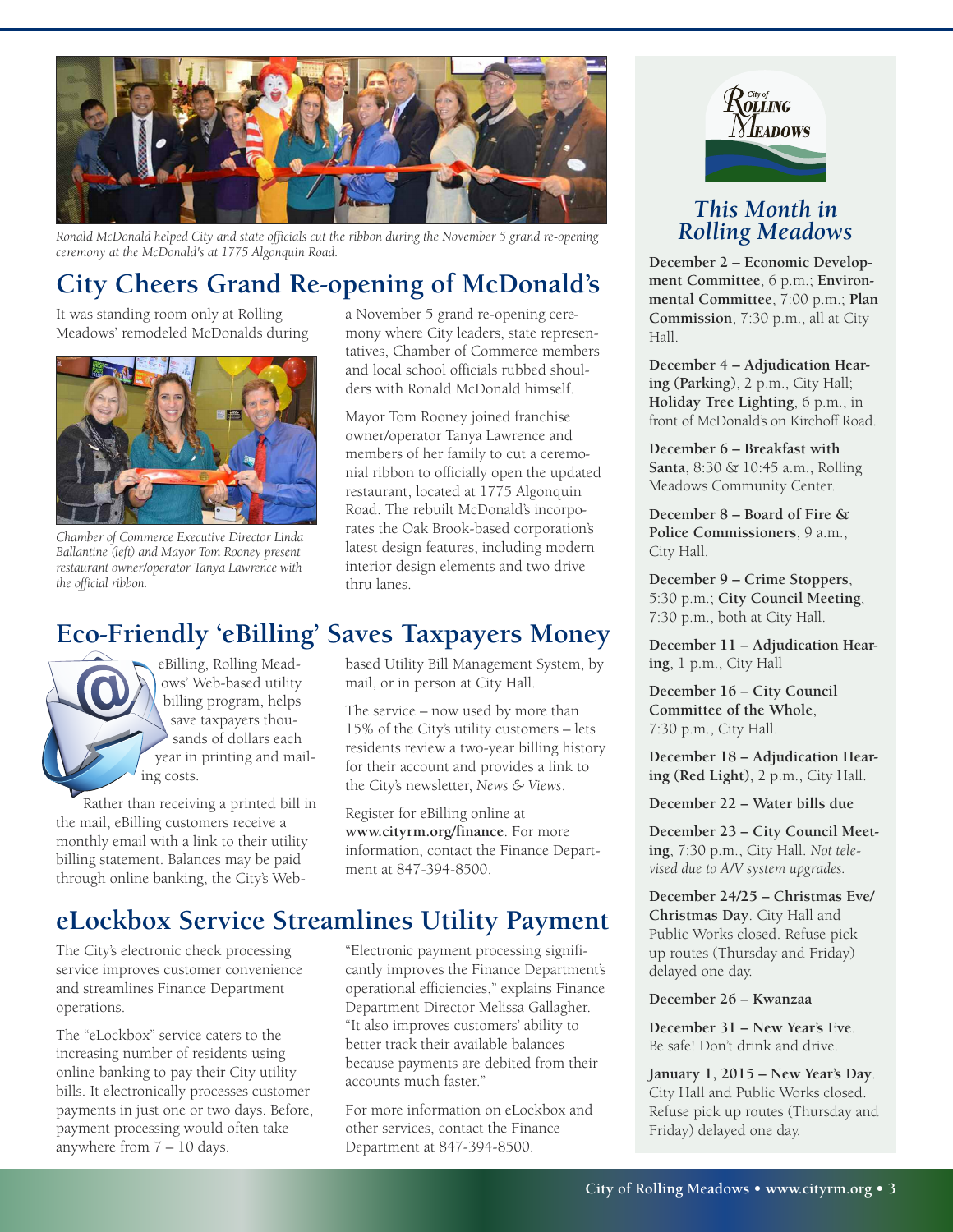

*Ronald McDonald helped City and state officials cut the ribbon during the November 5 grand re-opening ceremony at the McDonald's at 1775 Algonquin Road.*

# **City Cheers Grand Re-opening of McDonald's**

It was standing room only at Rolling Meadows' remodeled McDonalds during



*Chamber of Commerce Executive Director Linda Ballantine (left) and Mayor Tom Rooney present restaurant owner/operator Tanya Lawrence with the official ribbon.*

a November 5 grand re-opening ceremony where City leaders, state representatives, Chamber of Commerce members and local school officials rubbed shoulders with Ronald McDonald himself.

Mayor Tom Rooney joined franchise owner/operator Tanya Lawrence and members of her family to cut a ceremonial ribbon to officially open the updated restaurant, located at 1775 Algonquin Road. The rebuilt McDonald's incorporates the Oak Brook-based corporation's latest design features, including modern interior design elements and two drive thru lanes.

## **Eco-Friendly 'eBilling' Saves Taxpayers Money**

eBilling, Rolling Meadows' Web-based utility billing program, helps save taxpayers thousands of dollars each year in printing and mailing costs.

Rather than receiving a printed bill in the mail, eBilling customers receive a monthly email with a link to their utility billing statement. Balances may be paid through online banking, the City's Webbased Utility Bill Management System, by mail, or in person at City Hall.

The service – now used by more than 15% of the City's utility customers – lets residents review a two-year billing history for their account and provides a link to the City's newsletter, *News & Views*.

Register for eBilling online at **<www.cityrm.org/finance>**. For more information, contact the Finance Department at 847-394-8500.

# **eLockbox Service Streamlines Utility Payment**

The City's electronic check processing service improves customer convenience and streamlines Finance Department operations.

The "eLockbox" service caters to the increasing number of residents using online banking to pay their City utility bills. It electronically processes customer payments in just one or two days. Before, payment processing would often take anywhere from 7 – 10 days.

"Electronic payment processing significantly improves the Finance Department's operational efficiencies," explains Finance Department Director Melissa Gallagher. "It also improves customers' ability to better track their available balances because payments are debited from their accounts much faster."

For more information on eLockbox and other services, contact the Finance Department at 847-394-8500.



### *This Month in Rolling Meadows*

**December 2 – Economic Development Committee**, 6 p.m.; **Environmental Committee**, 7:00 p.m.; **Plan Commission**, 7:30 p.m., all at City Hall.

**December 4 – Adjudication Hearing (Parking)**, 2 p.m., City Hall; **Holiday Tree Lighting**, 6 p.m., in front of McDonald's on Kirchoff Road.

**December 6 – Breakfast with Santa**, 8:30 & 10:45 a.m., Rolling Meadows Community Center.

**December 8 – Board of Fire & Police Commissioners**, 9 a.m., City Hall.

**December 9 – Crime Stoppers**, 5:30 p.m.; **City Council Meeting**, 7:30 p.m., both at City Hall.

**December 11 – Adjudication Hearing**, 1 p.m., City Hall

**December 16 – City Council Committee of the Whole**, 7:30 p.m., City Hall.

**December 18 – Adjudication Hearing (Red Light)**, 2 p.m., City Hall.

**December 22 – Water bills due**

**December 23 – City Council Meeting**, 7:30 p.m., City Hall. *Not televised due to A/V system upgrades.*

**December 24/25 – Christmas Eve/ Christmas Day**. City Hall and Public Works closed. Refuse pick up routes (Thursday and Friday) delayed one day.

**December 26 – Kwanzaa**

**December 31 – New Year's Eve**. Be safe! Don't drink and drive.

**January 1, 2015 – New Year's Day**. City Hall and Public Works closed. Refuse pick up routes (Thursday and Friday) delayed one day.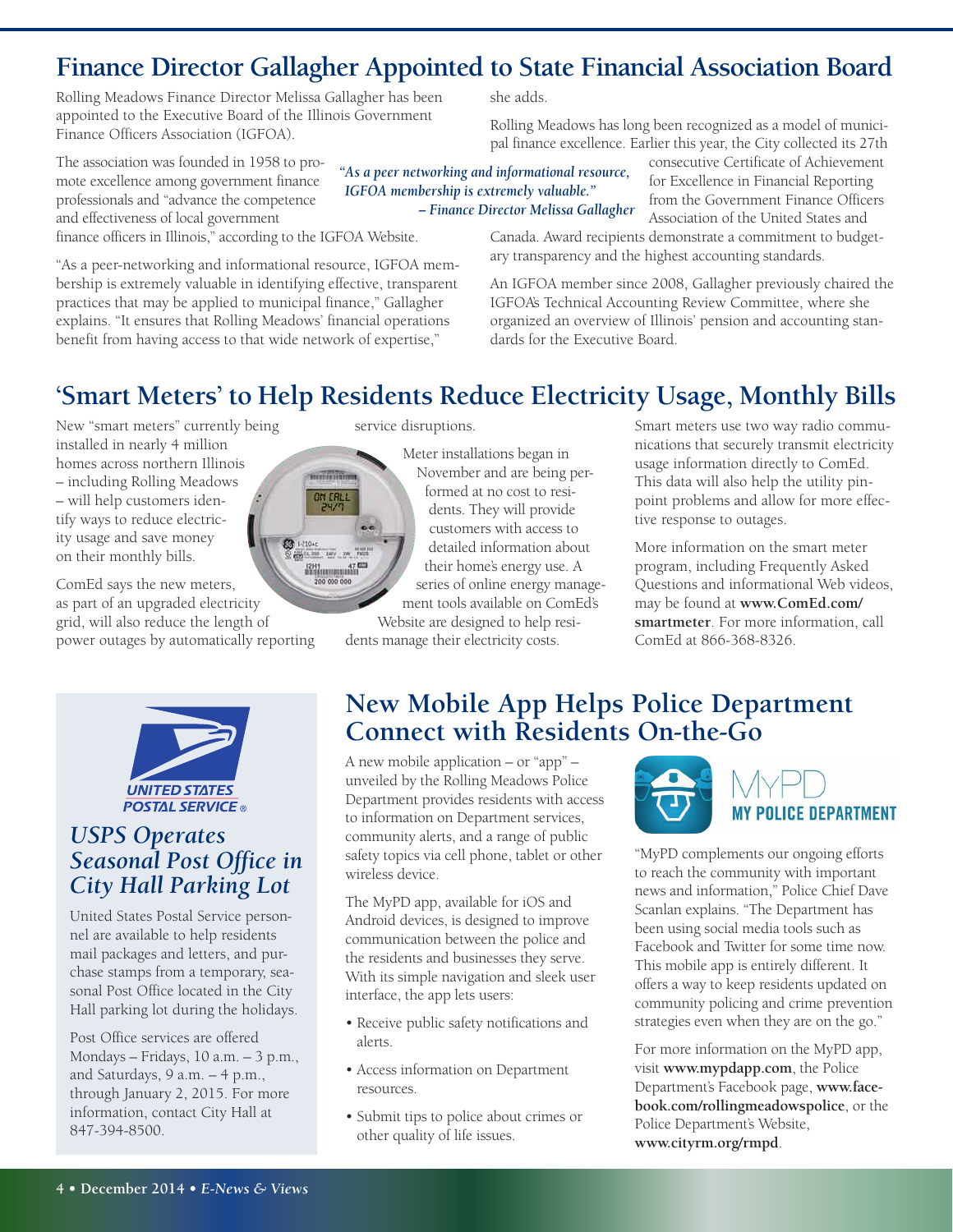## **Finance Director Gallagher Appointed to State Financial Association Board**

Rolling Meadows Finance Director Melissa Gallagher has been appointed to the Executive Board of the Illinois Government Finance Officers Association (IGFOA).

The association was founded in 1958 to promote excellence among government finance professionals and "advance the competence *"As a peer networking and informational resource, IGFOA membership is extremely valuable."*

*– Finance Director Melissa Gallagher*

she adds.

pal finance excellence. Earlier this year, the City collected its 27th consecutive Certificate of Achievement for Excellence in Financial Reporting from the Government Finance Officers Association of the United States and

and effectiveness of local government finance officers in Illinois," according to the IGFOA Website.

"As a peer-networking and informational resource, IGFOA membership is extremely valuable in identifying effective, transparent practices that may be applied to municipal finance," Gallagher explains. "It ensures that Rolling Meadows' financial operations benefit from having access to that wide network of expertise,"

Canada. Award recipients demonstrate a commitment to budgetary transparency and the highest accounting standards.

Rolling Meadows has long been recognized as a model of munici-

An IGFOA member since 2008, Gallagher previously chaired the IGFOA's Technical Accounting Review Committee, where she organized an overview of Illinois' pension and accounting standards for the Executive Board.

### **'Smart Meters' to Help Residents Reduce Electricity Usage, Monthly Bills**

New "smart meters" currently being installed in nearly 4 million homes across northern Illinois – including Rolling Meadows – will help customers identify ways to reduce electricity usage and save money on their monthly bills.

ComEd says the new meters, as part of an upgraded electricity grid, will also reduce the length of power outages by automatically reporting



### *USPS Operates Seasonal Post Office in City Hall Parking Lot*

United States Postal Service personnel are available to help residents mail packages and letters, and purchase stamps from a temporary, seasonal Post Office located in the City Hall parking lot during the holidays.

Post Office services are offered Mondays – Fridays, 10 a.m. – 3 p.m., and Saturdays, 9 a.m. – 4 p.m., through January 2, 2015. For more information, contact City Hall at 847-394-8500.

service disruptions.

#### Meter installations began in November and are being performed at no cost to residents. They will provide customers with access to detailed information about their home's energy use. A series of online energy management tools available on ComEd's

Website are designed to help residents manage their electricity costs.

Smart meters use two way radio communications that securely transmit electricity usage information directly to ComEd. This data will also help the utility pinpoint problems and allow for more effective response to outages.

More information on the smart meter program, including Frequently Asked Questions and informational Web videos, may be found at **[www.ComEd.com/](www.ComEd.com/smartmeter) [smartmeter](www.ComEd.com/smartmeter)**. For more information, call ComEd at 866-368-8326.

### **New Mobile App Helps Police Department Connect with Residents On-the-Go**

A new mobile application – or "app" – unveiled by the Rolling Meadows Police Department provides residents with access to information on Department services, community alerts, and a range of public safety topics via cell phone, tablet or other wireless device.

The MyPD app, available for iOS and Android devices, is designed to improve communication between the police and the residents and businesses they serve. With its simple navigation and sleek user interface, the app lets users:

- Receive public safety notifications and alerts.
- Access information on Department resources.
- Submit tips to police about crimes or other quality of life issues.



"MyPD complements our ongoing efforts to reach the community with important news and information," Police Chief Dave Scanlan explains. "The Department has been using social media tools such as Facebook and Twitter for some time now. This mobile app is entirely different. It offers a way to keep residents updated on community policing and crime prevention strategies even when they are on the go."

For more information on the MyPD app, visit **<www.mypdapp.com>**, the Police Department's Facebook page, **[www.face](www.facebook.com/rollingmeadowspolice)[book.com/rollingmeadowspolice](www.facebook.com/rollingmeadowspolice)**, or the Police Department's Website, **<www.cityrm.org/rmpd>**.

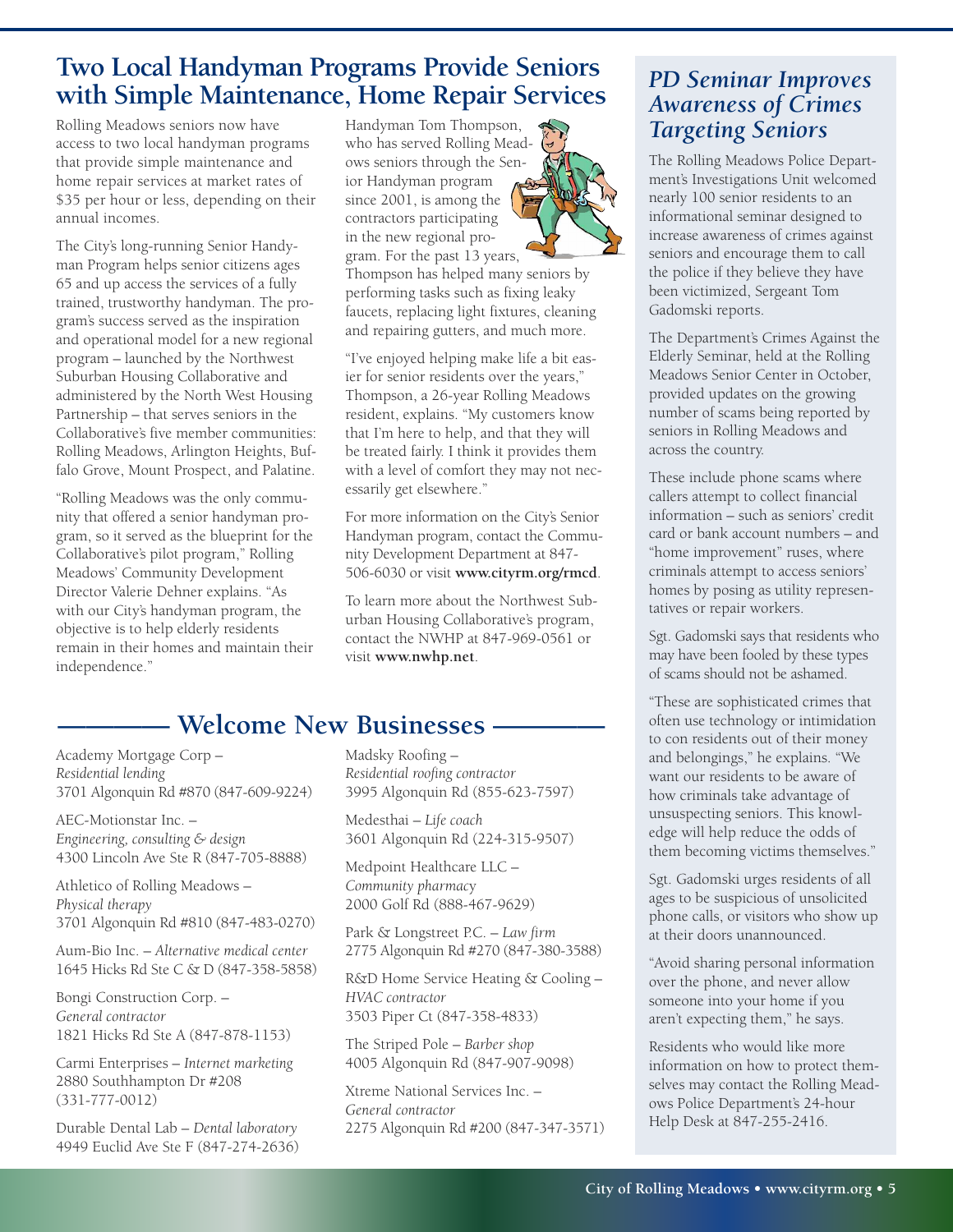## **Two Local Handyman Programs Provide Seniors with Simple Maintenance, Home Repair Services**

Rolling Meadows seniors now have access to two local handyman programs that provide simple maintenance and home repair services at market rates of \$35 per hour or less, depending on their annual incomes.

The City's long-running Senior Handyman Program helps senior citizens ages 65 and up access the services of a fully trained, trustworthy handyman. The program's success served as the inspiration and operational model for a new regional program – launched by the Northwest Suburban Housing Collaborative and administered by the North West Housing Partnership – that serves seniors in the Collaborative's five member communities: Rolling Meadows, Arlington Heights, Buffalo Grove, Mount Prospect, and Palatine.

"Rolling Meadows was the only community that offered a senior handyman program, so it served as the blueprint for the Collaborative's pilot program," Rolling Meadows' Community Development Director Valerie Dehner explains. "As with our City's handyman program, the objective is to help elderly residents remain in their homes and maintain their independence."

Handyman Tom Thompson, who has served Rolling Meadows seniors through the Senior Handyman program since 2001, is among the contractors participating in the new regional program. For the past 13 years,

Thompson has helped many seniors by performing tasks such as fixing leaky faucets, replacing light fixtures, cleaning and repairing gutters, and much more.

"I've enjoyed helping make life a bit easier for senior residents over the years," Thompson, a 26-year Rolling Meadows resident, explains. "My customers know that I'm here to help, and that they will be treated fairly. I think it provides them with a level of comfort they may not necessarily get elsewhere."

For more information on the City's Senior Handyman program, contact the Community Development Department at 847- 506-6030 or visit **<www.cityrm.org/rmcd>**.

To learn more about the Northwest Suburban Housing Collaborative's program, contact the NWHP at 847-969-0561 or visit **<www.nwhp.net>**.

### **———— Welcome New Businesses ————**

Academy Mortgage Corp – *Residential lending* 3701 Algonquin Rd #870 (847-609-9224)

AEC-Motionstar Inc. – *Engineering, consulting & design* 4300 Lincoln Ave Ste R (847-705-8888)

Athletico of Rolling Meadows – *Physical therapy* 3701 Algonquin Rd #810 (847-483-0270)

Aum-Bio Inc. – *Alternative medical center* 1645 Hicks Rd Ste C & D (847-358-5858)

Bongi Construction Corp. – *General contractor* 1821 Hicks Rd Ste A (847-878-1153)

Carmi Enterprises – *Internet marketing* 2880 Southhampton Dr #208 (331-777-0012)

Durable Dental Lab – *Dental laboratory* 4949 Euclid Ave Ste F (847-274-2636) Madsky Roofing – *Residential roofing contractor* 3995 Algonquin Rd (855-623-7597)

Medesthai – *Life coach* 3601 Algonquin Rd (224-315-9507)

Medpoint Healthcare LLC – *Community pharmac*y 2000 Golf Rd (888-467-9629)

Park & Longstreet P.C. – *Law firm* 2775 Algonquin Rd #270 (847-380-3588)

R&D Home Service Heating & Cooling – *HVAC contractor* 3503 Piper Ct (847-358-4833)

The Striped Pole – *Barber shop* 4005 Algonquin Rd (847-907-9098)

Xtreme National Services Inc. – *General contractor* 2275 Algonquin Rd #200 (847-347-3571)

### *PD Seminar Improves Awareness of Crimes Targeting Seniors*

The Rolling Meadows Police Department's Investigations Unit welcomed nearly 100 senior residents to an informational seminar designed to increase awareness of crimes against seniors and encourage them to call the police if they believe they have been victimized, Sergeant Tom Gadomski reports.

The Department's Crimes Against the Elderly Seminar, held at the Rolling Meadows Senior Center in October, provided updates on the growing number of scams being reported by seniors in Rolling Meadows and across the country.

These include phone scams where callers attempt to collect financial information – such as seniors' credit card or bank account numbers – and "home improvement" ruses, where criminals attempt to access seniors' homes by posing as utility representatives or repair workers.

Sgt. Gadomski says that residents who may have been fooled by these types of scams should not be ashamed.

"These are sophisticated crimes that often use technology or intimidation to con residents out of their money and belongings," he explains. "We want our residents to be aware of how criminals take advantage of unsuspecting seniors. This knowledge will help reduce the odds of them becoming victims themselves."

Sgt. Gadomski urges residents of all ages to be suspicious of unsolicited phone calls, or visitors who show up at their doors unannounced.

"Avoid sharing personal information over the phone, and never allow someone into your home if you aren't expecting them," he says.

Residents who would like more information on how to protect themselves may contact the Rolling Meadows Police Department's 24-hour Help Desk at 847-255-2416.